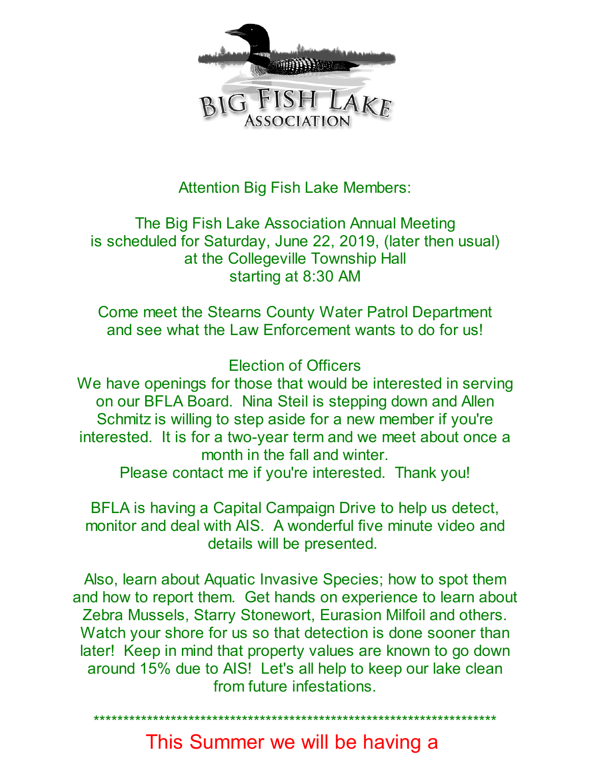

## Attention Big Fish Lake Members:

The Big Fish Lake Association Annual Meeting is scheduled for Saturday, June 22, 2019, (later then usual) at the Collegeville Township Hall starting at 8:30 AM

Come meet the Stearns County Water Patrol Department and see what the Law Enforcement wants to do for us!

## Election of Officers

We have openings for those that would be interested in serving on our BFLA Board. Nina Steil is stepping down and Allen Schmitz is willing to step aside for a new member if you're interested. It is for a two-year term and we meet about once a month in the fall and winter. Please contact me if you're interested. Thank you!

BFLA is having a Capital Campaign Drive to help us detect, monitor and deal with AIS. A wonderful five minute video and details will be presented.

Also, learn about Aquatic Invasive Species; how to spot them and how to report them. Get hands on experience to learn about Zebra Mussels, Starry Stonewort, Eurasion Milfoil and others. Watch your shore for us so that detection is done sooner than later! Keep in mind that property values are known to go down around 15% due to AIS! Let's all help to keep our lake clean from future infestations.

This Summer we will be having a

\*\*\*\*\*\*\*\*\*\*\*\*\*\*\*\*\*\*\*\*\*\*\*\*\*\*\*\*\*\*\*\*\*\*\*\*\*\*\*\*\*\*\*\*\*\*\*\*\*\*\*\*\*\*\*\*\*\*\*\*\*\*\*\*\*\*\*\*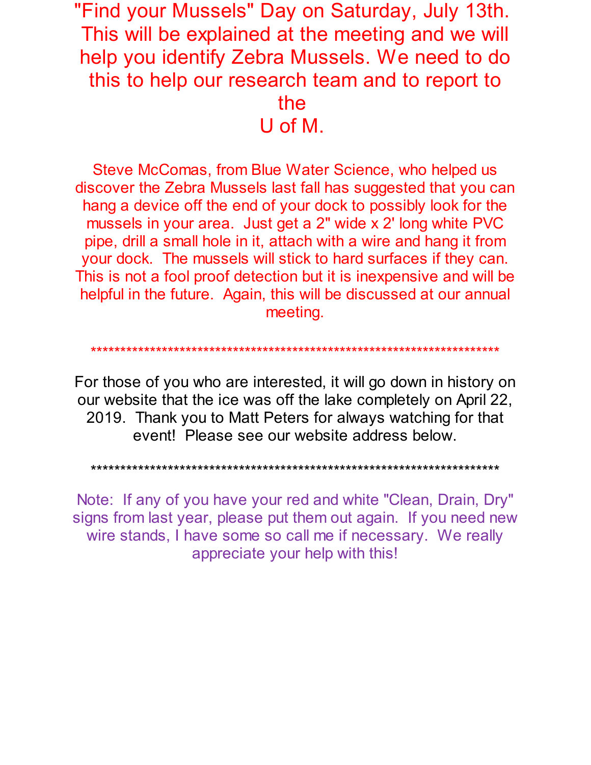# "Find your Mussels" Day on Saturday, July 13th. This will be explained at the meeting and we will help you identify Zebra Mussels. We need to do this to help our research team and to report to the U of M.

Steve McComas, from Blue Water Science, who helped us discover the Zebra Mussels last fall has suggested that you can hang a device off the end of your dock to possibly look for the mussels in your area. Just get a 2" wide x 2' long white PVC pipe, drill a small hole in it, attach with a wire and hang it from your dock. The mussels will stick to hard surfaces if they can. This is not a fool proof detection but it is inexpensive and will be helpful in the future. Again, this will be discussed at our annual meeting.

### 

For those of you who are interested, it will go down in history on our website that the ice was off the lake completely on April 22, 2019. Thank you to Matt Peters for always watching for that event! Please see our website address below.

#### 

Note: If any of you have your red and white "Clean, Drain, Dry" signs from last year, please put them out again. If you need new wire stands, I have some so call me if necessary. We really appreciate your help with this!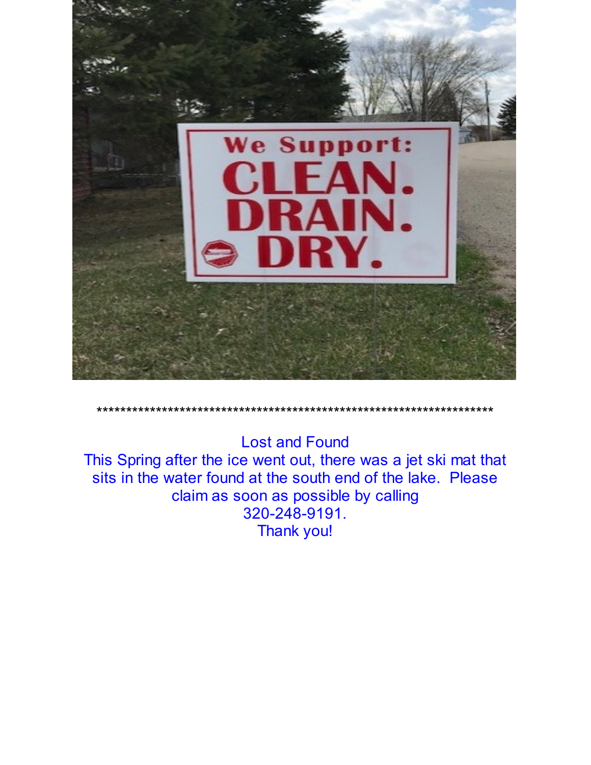

**Lost and Found** 

This Spring after the ice went out, there was a jet ski mat that sits in the water found at the south end of the lake. Please claim as soon as possible by calling 320-248-9191. Thank you!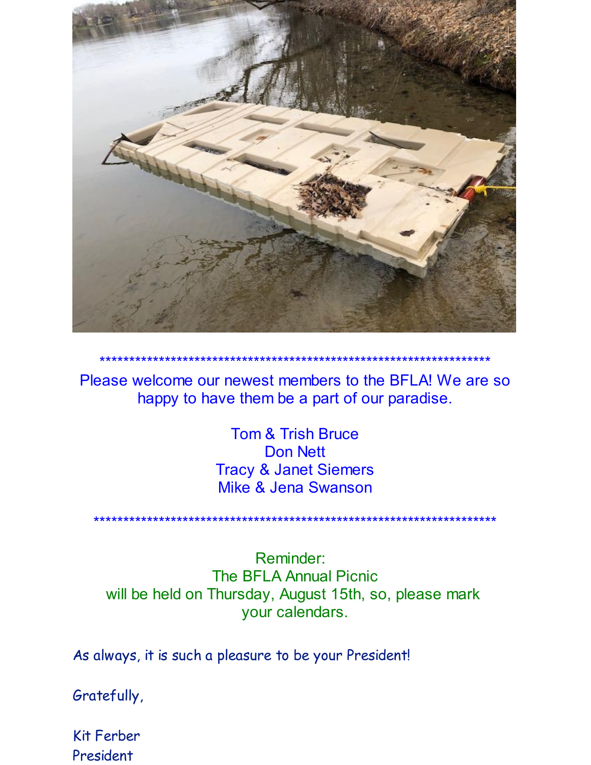

Please welcome our newest members to the BFLA! We are so happy to have them be a part of our paradise.

> **Tom & Trish Bruce Don Nett Tracy & Janet Siemers** Mike & Jena Swanson

والموالد فيلحظه فيلحظه فيلحظه فيلحظه فيلحظه فيلحظه فيلحظه فيلحظه فيلحظه

Reminder: **The BFLA Annual Picnic** will be held on Thursday, August 15th, so, please mark your calendars.

As always, it is such a pleasure to be your President!

Gratefully,

Kit Ferber President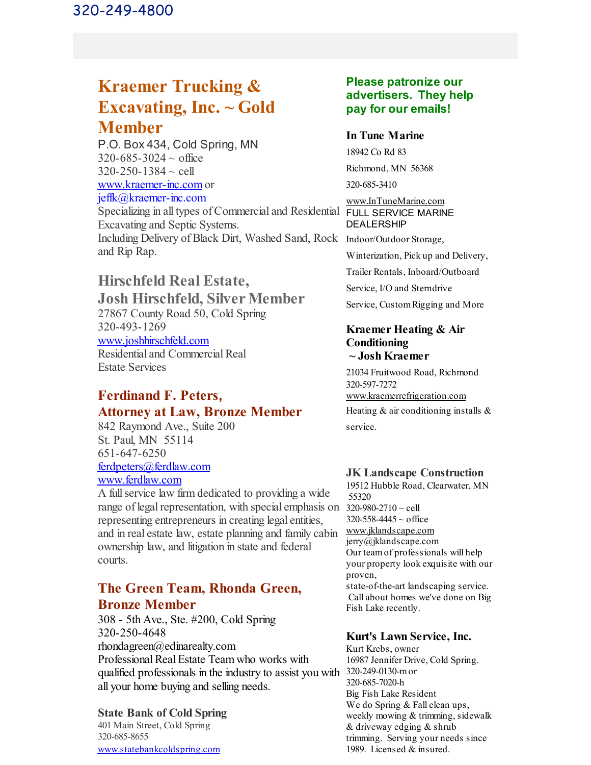## **Kraemer Trucking & Excavating, Inc. ~ Gold Member**

P.O. Box 434, Cold Spring, MN  $320 - 685 - 3024 \sim$  office  $320 - 250 - 1384 \sim$  cell [www.kraemer-inc.com](http://www.kraemer-inc.com) or jeffk@kraemer-inc.com Specializing in all types of Commercial and Residential Excavating and Septic Systems. Including Delivery of Black Dirt, Washed Sand, Rock Indoor/Outdoor Storage, and Rip Rap.

## **Hirschfeld Real Estate,**

**Josh Hirschfeld, Silver Member** 27867 County Road 50, Cold Spring 320-493-1269 [www.joshhirschfeld.com](http://www.joshhirschfeld.com) Residential and Commercial Real Estate Services

## **Ferdinand F. Peters,**

## **Attorney at Law, Bronze Member**

842 Raymond Ave., Suite 200 St. Paul, MN 55114 651-647-6250 [ferdpeters@ferdlaw.com](mailto:ferdpeters@ferdlaw.com)

### [www.ferdlaw.com](http://www.ferdlaw.com)

A fullservice law firm dedicated to providing a wide range of legal representation, with special emphasis on representing entrepreneurs in creating legal entities, and in real estate law, estate planning and family cabin ownership law, and litigation in state and federal courts.

## **The Green Team, Rhonda Green, Bronze Member**

308 - 5th Ave., Ste. #200, Cold Spring 320-250-4648 rhondagreen@edinarealty.com Professional Real Estate Team who works with qualified professionals in the industry to assist you with 320-249-0130-mor all your home buying and selling needs.

## **State Bank of Cold Spring**

401 Main Street, Cold Spring 320-685-8655 [www.statebankcoldspring.com](http://www.statebankcoldspring.com)

## **Please patronize our advertisers. They help pay for our emails!**

#### **In Tune Marine**

18942 Co Rd 83 Richmond, MN 56368

320-685-3410

[www.InTuneMarine.com](http://www.intunemarine.com) FULL SERVICE MARINE DEALERSHIP

Winterization, Pick up and Delivery,

Trailer Rentals, Inboard/Outboard

Service, I/O and Sterndrive

Service, Custom Rigging and More

### **Kraemer Heating & Air Conditioning ~ Josh Kraemer**

21034 Fruitwood Road, Richmond 320-597-7272 [www.kraemerrefrigeration.com](http://www.kraemerrefrigeration.com) Heating  $&$  air conditioning installs  $&$ 

service.

## **JK Landscape Construction**

19512 Hubble Road, Clearwater, MN 55320  $320 - 980 - 2710 \sim$  cell  $320 - 558 - 4445 \sim$  office [www.jklandscape.com](http://www.jklandscape.com) jerry@jklandscape.com Our teamof professionals will help your property look exquisite with our proven, state-of-the-art landscaping service. Call about homes we've done on Big Fish Lake recently.

## **Kurt's Lawn Service, Inc.**

Kurt Krebs, owner 16987 Jennifer Drive, Cold Spring. 320-685-7020-h Big Fish Lake Resident We do Spring & Fall clean ups, weekly mowing & trimming, sidewalk & driveway edging & shrub trimming. Serving your needs since 1989. Licensed & insured.